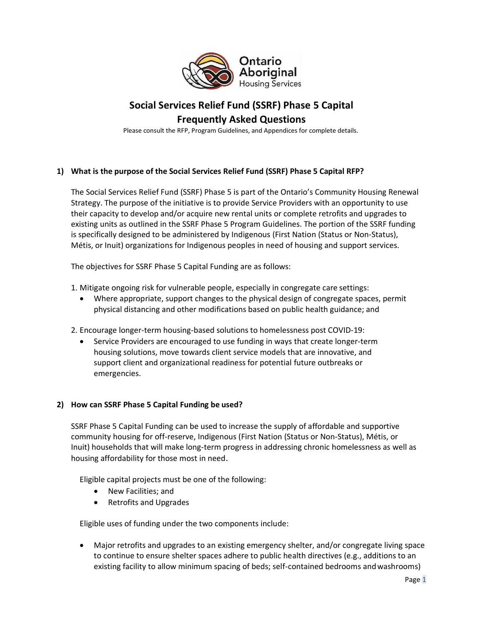

# **Social Services Relief Fund (SSRF) Phase 5 Capital Frequently Asked Questions**

Please consult the RFP, Program Guidelines, and Appendices for complete details.

# **1) What is the purpose of the Social Services Relief Fund (SSRF) Phase 5 Capital RFP?**

The Social Services Relief Fund (SSRF) Phase 5 is part of the Ontario's Community Housing Renewal Strategy. The purpose of the initiative is to provide Service Providers with an opportunity to use their capacity to develop and/or acquire new rental units or complete retrofits and upgrades to existing units as outlined in the SSRF Phase 5 Program Guidelines. The portion of the SSRF funding is specifically designed to be administered by Indigenous (First Nation (Status or Non-Status), Métis, or Inuit) organizations for Indigenous peoples in need of housing and support services.

The objectives for SSRF Phase 5 Capital Funding are as follows:

- 1. Mitigate ongoing risk for vulnerable people, especially in congregate care settings:
	- Where appropriate, support changes to the physical design of congregate spaces, permit physical distancing and other modifications based on public health guidance; and
- 2. Encourage longer-term housing-based solutions to homelessness post COVID-19:
	- Service Providers are encouraged to use funding in ways that create longer-term housing solutions, move towards client service models that are innovative, and support client and organizational readiness for potential future outbreaks or emergencies.

### **2) How can SSRF Phase 5 Capital Funding be used?**

SSRF Phase 5 Capital Funding can be used to increase the supply of affordable and supportive community housing for off-reserve, Indigenous (First Nation (Status or Non-Status), Métis, or Inuit) households that will make long-term progress in addressing chronic homelessness as well as housing affordability for those most in need.

Eligible capital projects must be one of the following:

- New Facilities; and
- Retrofits and Upgrades

Eligible uses of funding under the two components include:

• Major retrofits and upgrades to an existing emergency shelter, and/or congregate living space to continue to ensure shelter spaces adhere to public health directives (e.g., additions to an existing facility to allow minimum spacing of beds; self-contained bedrooms and washrooms)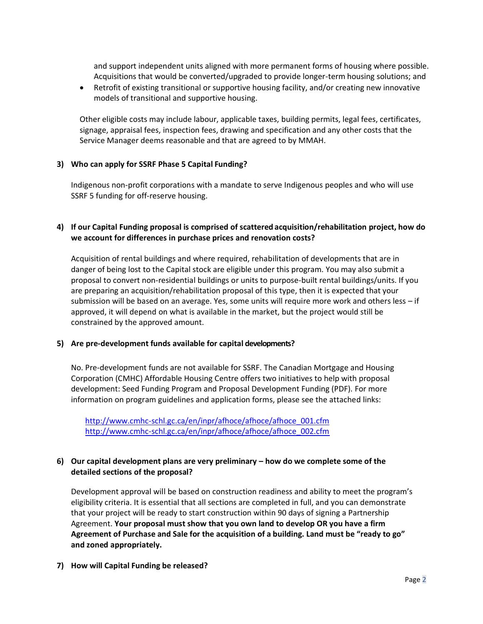and support independent units aligned with more permanent forms of housing where possible. Acquisitions that would be converted/upgraded to provide longer-term housing solutions; and

• Retrofit of existing transitional or supportive housing facility, and/or creating new innovative models of transitional and supportive housing.

Other eligible costs may include labour, applicable taxes, building permits, legal fees, certificates, signage, appraisal fees, inspection fees, drawing and specification and any other costs that the Service Manager deems reasonable and that are agreed to by MMAH.

#### **3) Who can apply for SSRF Phase 5 Capital Funding?**

Indigenous non-profit corporations with a mandate to serve Indigenous peoples and who will use SSRF 5 funding for off-reserve housing.

## **4) If our Capital Funding proposal is comprised of scattered acquisition/rehabilitation project, how do we account for differences in purchase prices and renovation costs?**

Acquisition of rental buildings and where required, rehabilitation of developments that are in danger of being lost to the Capital stock are eligible under this program. You may also submit a proposal to convert non-residential buildings or units to purpose-built rental buildings/units. If you are preparing an acquisition/rehabilitation proposal of this type, then it is expected that your submission will be based on an average. Yes, some units will require more work and others less – if approved, it will depend on what is available in the market, but the project would still be constrained by the approved amount.

#### **5) Are pre-development funds available for capital developments?**

No. Pre-development funds are not available for SSRF. The Canadian Mortgage and Housing Corporation (CMHC) Affordable Housing Centre offers two initiatives to help with proposal development: Seed Funding Program and Proposal Development Funding (PDF). For more information on program guidelines and application forms, please see the attached links:

[http://www.cmhc-schl.gc.ca/en/inpr/afhoce/afhoce/afhoce\\_001.cfm](http://www.cmhc-schl.gc.ca/en/inpr/afhoce/afhoce/afhoce_001.cfm)  [http://www.cmhc-schl.gc.ca/en/inpr/afhoce/afhoce/afhoce\\_002.cfm](http://www.cmhc-schl.gc.ca/en/inpr/afhoce/afhoce/afhoce_002.cfm)

### **6) Our capital development plans are very preliminary – how do we complete some of the detailed sections of the proposal?**

Development approval will be based on construction readiness and ability to meet the program's eligibility criteria. It is essential that all sections are completed in full, and you can demonstrate that your project will be ready to start construction within 90 days of signing a Partnership Agreement. **Your proposal must show that you own land to develop OR you have a firm Agreement of Purchase and Sale for the acquisition of a building. Land must be "ready to go" and zoned appropriately.**

**7) How will Capital Funding be released?**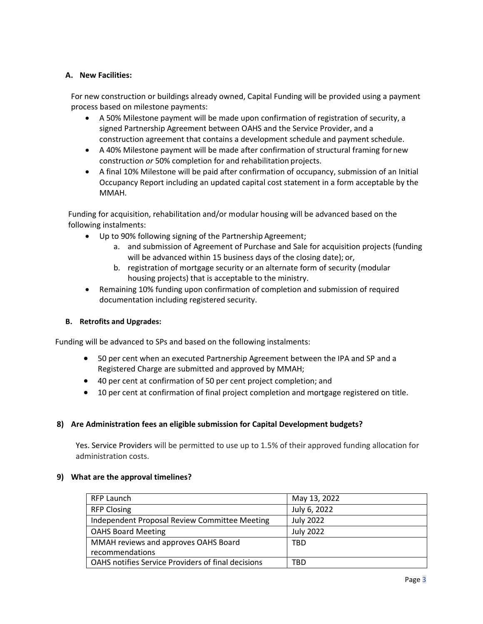## **A. New Facilities:**

For new construction or buildings already owned, Capital Funding will be provided using a payment process based on milestone payments:

- A 50% Milestone payment will be made upon confirmation of registration of security, a signed Partnership Agreement between OAHS and the Service Provider, and a construction agreement that contains a development schedule and payment schedule.
- A 40% Milestone payment will be made after confirmation of structural framing for new construction *or* 50% completion for and rehabilitation projects.
- A final 10% Milestone will be paid after confirmation of occupancy, submission of an Initial Occupancy Report including an updated capital cost statement in a form acceptable by the MMAH.

Funding for acquisition, rehabilitation and/or modular housing will be advanced based on the following instalments:

- Up to 90% following signing of the Partnership Agreement;
	- a. and submission of Agreement of Purchase and Sale for acquisition projects (funding will be advanced within 15 business days of the closing date); or,
	- b. registration of mortgage security or an alternate form of security (modular housing projects) that is acceptable to the ministry.
- Remaining 10% funding upon confirmation of completion and submission of required documentation including registered security.

### **B. Retrofits and Upgrades:**

Funding will be advanced to SPs and based on the following instalments:

- 50 per cent when an executed Partnership Agreement between the IPA and SP and a Registered Charge are submitted and approved by MMAH;
- 40 per cent at confirmation of 50 per cent project completion; and
- 10 per cent at confirmation of final project completion and mortgage registered on title.

### **8) Are Administration fees an eligible submission for Capital Development budgets?**

Yes. Service Providers will be permitted to use up to 1.5% of their approved funding allocation for administration costs.

#### **9) What are the approval timelines?**

| <b>RFP Launch</b>                                  | May 13, 2022     |
|----------------------------------------------------|------------------|
| <b>RFP Closing</b>                                 | July 6, 2022     |
| Independent Proposal Review Committee Meeting      | <b>July 2022</b> |
| <b>OAHS Board Meeting</b>                          | <b>July 2022</b> |
| MMAH reviews and approves OAHS Board               | TBD              |
| recommendations                                    |                  |
| OAHS notifies Service Providers of final decisions | TBD              |